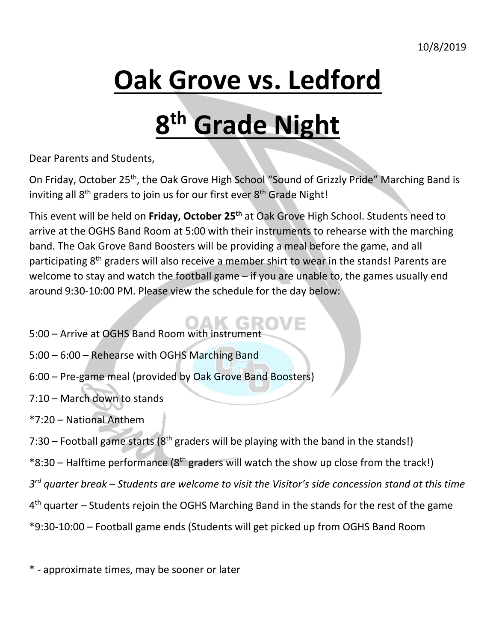# **Oak Grove vs. Ledford**

# **8 th Grade Night**

Dear Parents and Students,

On Friday, October 25<sup>th</sup>, the Oak Grove High School "Sound of Grizzly Pride" Marching Band is inviting all 8<sup>th</sup> graders to join us for our first ever 8<sup>th</sup> Grade Night!

This event will be held on **Friday, October 25th** at Oak Grove High School. Students need to arrive at the OGHS Band Room at 5:00 with their instruments to rehearse with the marching band. The Oak Grove Band Boosters will be providing a meal before the game, and all participating 8<sup>th</sup> graders will also receive a member shirt to wear in the stands! Parents are welcome to stay and watch the football game – if you are unable to, the games usually end around 9:30-10:00 PM. Please view the schedule for the day below:

- 5:00 Arrive at OGHS Band Room with instrumer
- 5:00 6:00 Rehearse with OGHS Marching Band
- 6:00 Pre-game meal (provided by Oak Grove Band Boosters)
- 7:10 March down to stands
- \*7:20 National Anthem
- 7:30 Football game starts ( $8<sup>th</sup>$  graders will be playing with the band in the stands!)
- $*8:30$  Halftime performance ( $8<sup>th</sup>$  graders will watch the show up close from the track!)
- *3 rd quarter break – Students are welcome to visit the Visitor's side concession stand at this time*
- 4<sup>th</sup> quarter Students rejoin the OGHS Marching Band in the stands for the rest of the game
- \*9:30-10:00 Football game ends (Students will get picked up from OGHS Band Room

\* - approximate times, may be sooner or later